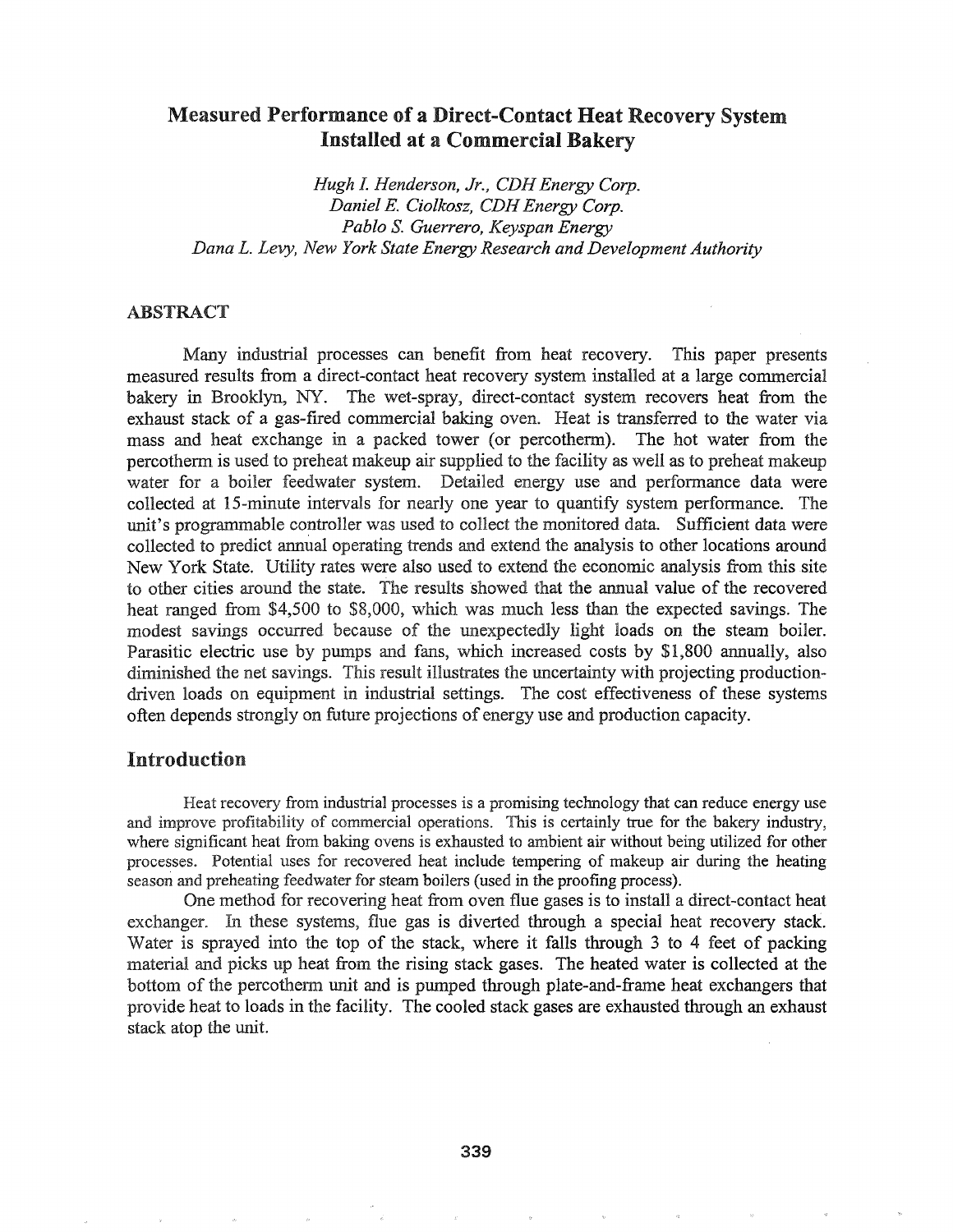## Measured Performance of a Direct-Contact Heat Recovery System Installed at a Commercial Bakery

*Hugh L Henderson, Jr., CDH Energy Corp. Daniel E. Ciolkosz, CDHEnergy Corp. Pablo* S. *Guerrero, Keyspan Energy Dana L. Levy, New York State Energy Research and Development Authority*

### ABSTRACT

Many industrial processes can benefit from heat recovery. This paper presents measured results from a direct-contact heat recovery system installed at a large commercial bakery in Brooklyn, NY. The wet-spray, direct-contact system recovers heat from the exhaust stack of a gas-fired commercial baking oven.. Heat is transferred to the water via mass and heat exchange in a packed tower (or percotherm). The hot water from the percothenn is used to preheat makeup air supplied to the facility as well as to preheat makeup water for a boiler feedwater system. Detailed energy use and performance data were collected at I5-minute intervals for nearly one year to quantify system perfonnance. The unit's programmable controller was used to collect the monitored data. Sufficient data were collected to predict annual operating trends and extend the analysis to other locations around New York State. Utility rates were also used to extend the economic analysis from this site to other cities around the state. The results showed that the annual value of the recovered heat ranged from \$4,500 to \$8,000, which was much less than the expected savings. The modest savings occurred because of the unexpectedly light loads on the steam boiler. Parasitic electric use by pumps and fans, which increased costs by \$1,800 annually, also diminished the net savings. This result illustrates the uncertainty with projecting productiondriven loads on equipment in industrial settings. The cost effectiveness of these systems often depends strongly on future projections of energy use and production capacity.

### Introduction

Heat recovery from industrial processes is a promising technology that can reduce energy use and improve profitability of commercial operations. This is certainly true for the bakery industry, where significant heat from baking ovens is exhausted to ambient air without being utilized for other processes. Potential uses for recovered heat include tempering of makeup air during the heating season and preheating feedwater for steam boilers (used in the proofmg process).

One method for recovering heat from oven flue gases is to install a direct-contact heat exchanger. In these systems, flue gas is diverted through a special heat recovery stack. Water is sprayed into the top of the stack, where it falls through 3 to 4 feet of packing material and picks up heat from the rising stack gases. The heated water is collected at the bottom the percothenn unit and is pumped through plate-and-frame heat exchangers that provide heat to loads in the facility. The cooled stack gases are exhausted through an exhaust stack atop the unit.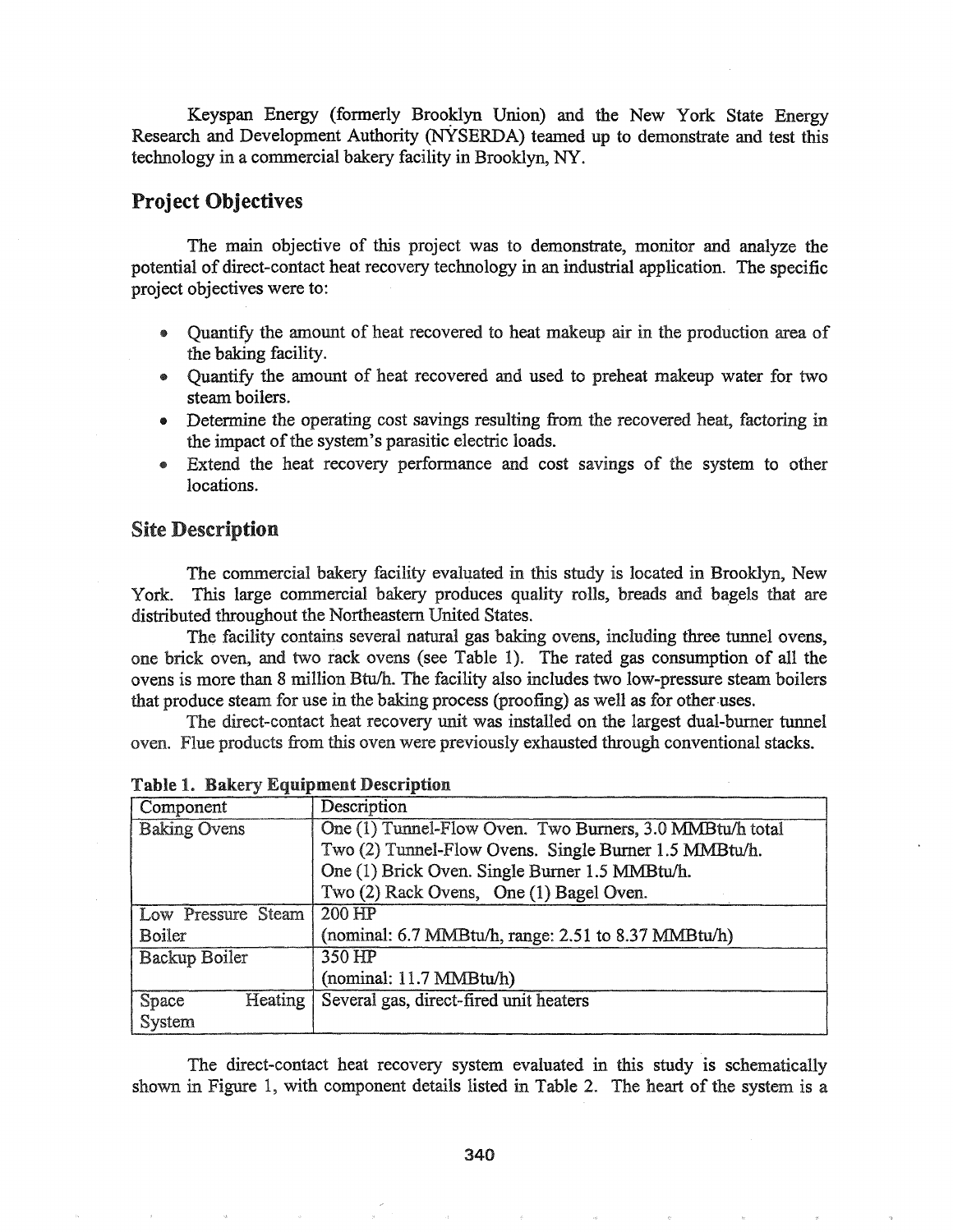Keyspan Energy (formerly Brooklyn Union) and the New York State Energy Research and Development Authority (NYSERDA) teamed up to demonstrate and test this technology in a commercial bakery facility in Brooklyn, NY.

### Project Objectives

The main objective of this project was to demonstrate, monitor and analyze the potential of direct-contact heat recovery technology in an industrial application. The specific project objectives were to:

- I) Quantify the amount of heat recovered to heat makeup air in the production area of the baking facility.
- Quantify the amount of heat recovered and used to preheat makeup water for two steam boilers..
- Determine the operating cost savings resulting from the recovered heat, factoring in the impact of the system's parasitic electric loads.
- Extend the heat recovery performance and cost savings of the system to other locations.

### Site Description

The commercial bakery facility evaluated in this study is located in Brooklyn, New York. This large commercial bakery produces quality rolls, breads and bagels that are distributed throughout the Northeastern United States.

The facility contains several natural gas baking ovens, including three tunnel ovens, one brick oven, and two rack ovens (see Table 1). The rated gas consumption of all the ovens is more than 8 million Btu/h. The facility also includes two low-pressure steam boilers that produce steam for use in the baking process (proofing) as well as for other-uses.

The direct-contact heat recovery unit was installed on the largest dual-burner tunnel oven. Flue products from this oven were previously exhausted through conventional stacks..

| Component            | Description                                              |
|----------------------|----------------------------------------------------------|
| <b>Baking Ovens</b>  | One (1) Tunnel-Flow Oven. Two Burners, 3.0 MMBtu/h total |
|                      | Two (2) Tunnel-Flow Ovens. Single Burner 1.5 MMBtu/h.    |
|                      | One (1) Brick Oven. Single Burner 1.5 MMBtu/h.           |
|                      | Two (2) Rack Ovens, One (1) Bagel Oven.                  |
| Low Pressure Steam   | 200 HP                                                   |
| <b>Boiler</b>        | (nominal: 6.7 MMBtu/h, range: 2.51 to 8.37 MMBtu/h)      |
| <b>Backup Boiler</b> | 350 HP                                                   |
|                      | (nominal: 11.7 MMBtu/h)                                  |
| Heating  <br>Space   | Several gas, direct-fired unit heaters                   |
| System               |                                                          |

Table 1. Bakery Equipment Description

The direct-contact heat recovery system evaluated in this study is schematically shown in Figure 1, with component details listed in Table 2. The heart of the system is a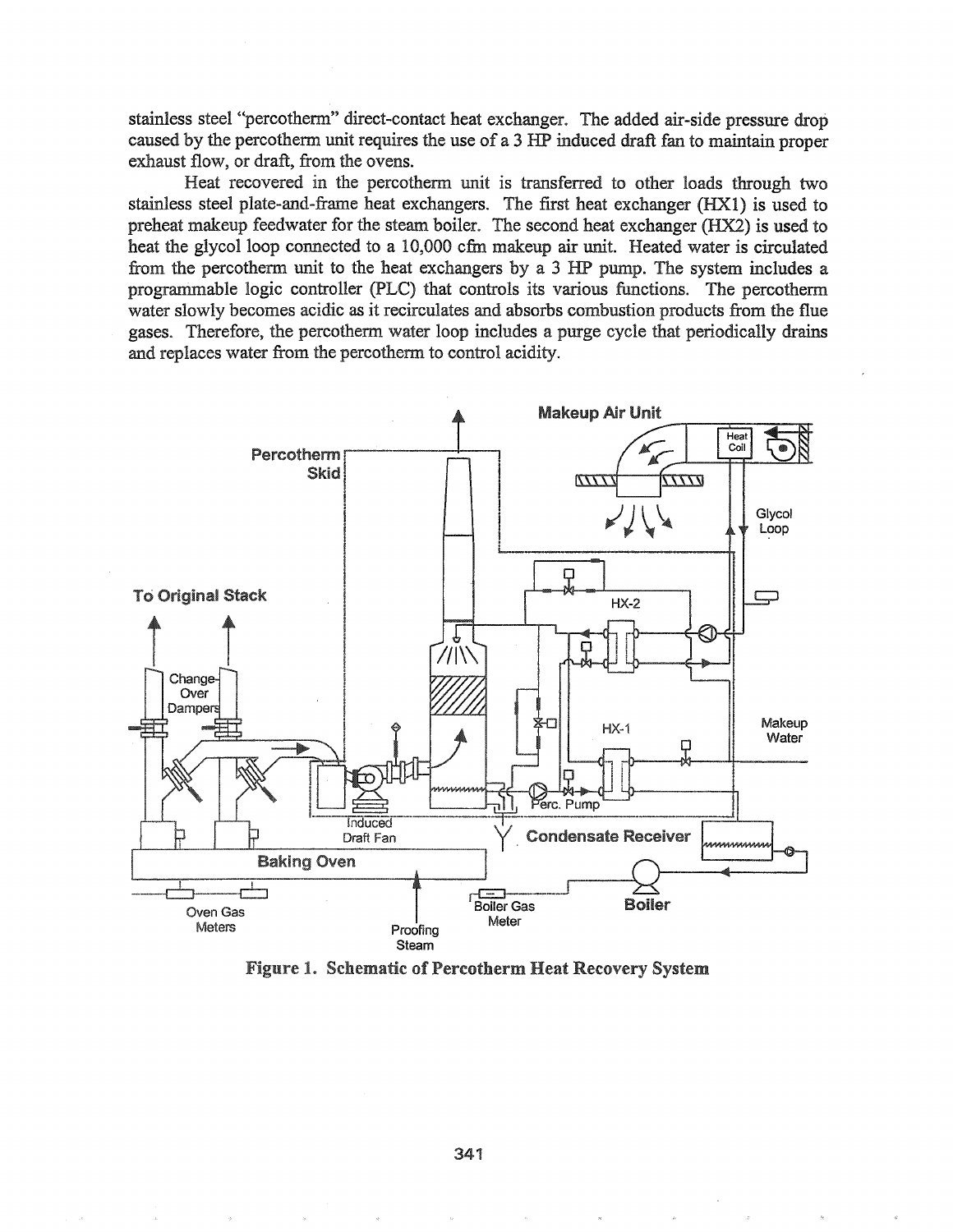stainless steel "percotherm" direct-contact heat exchanger. The added air-side pressure drop caused by the percotherm unit requires the use of a 3 HP induced draft fan to maintain proper exhaust flow, or draft, from the ovens.

Heat recovered in the percothenn unit is transferred to other loads through two stainless steel plate-and-frame heat exchangers. The first heat exchanger (HXl) is used to preheat makeup feedwater for the steam boiler. The second heat exchanger (HX2) is used to heat the glycol loop connected to a 10,000 cfm makeup air unit. Heated water is circulated from the percotherm unit to the heat exchangers by a 3 HP pump. The system includes a progranimable logic controller (PLC) that controls its various functions. The percotherm water slowly becomes acidic as it recirculates and absorbs combustion products from the flue gases. Therefore, the percotherm water loop includes a purge cycle that periodically drains and replaces water from the percotherm to control acidity.



Figure 1. Schematic of Percotherm Heat Recovery System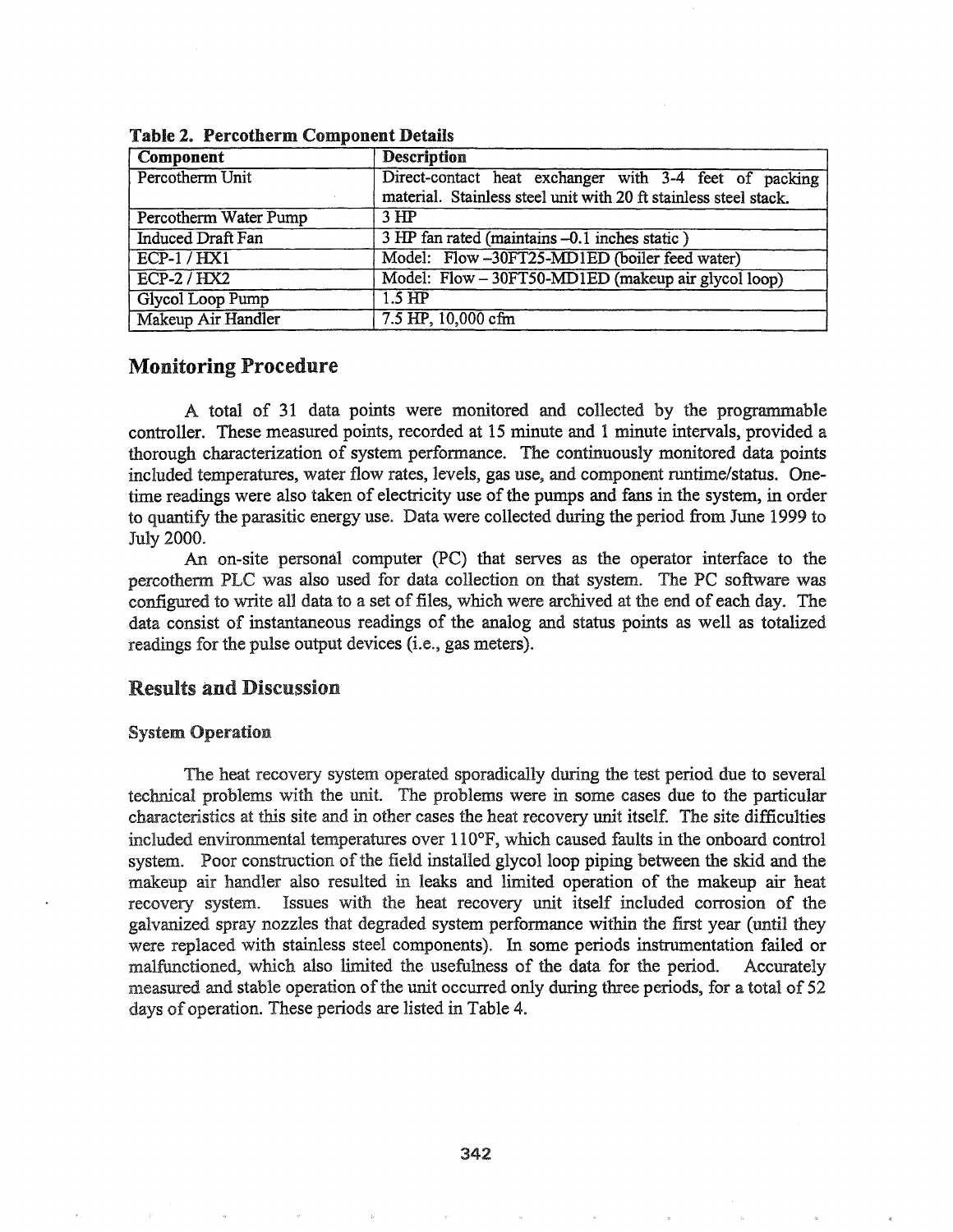| Component                | <b>Description</b>                                                                                                         |
|--------------------------|----------------------------------------------------------------------------------------------------------------------------|
| Percotherm Unit          | Direct-contact heat exchanger with 3-4 feet of packing<br>material. Stainless steel unit with 20 ft stainless steel stack. |
| Percotherm Water Pump    | 3 <sub>HP</sub>                                                                                                            |
| <b>Induced Draft Fan</b> | 3 HP fan rated (maintains -0.1 inches static)                                                                              |
| ECP-1/HX1                | Model: Flow-30FT25-MD1ED (boiler feed water)                                                                               |
| $ECP-2/HX2$              | Model: Flow - 30FT50-MD1ED (makeup air glycol loop)                                                                        |
| Glycol Loop Pump         | $1.5 \text{ HP}$                                                                                                           |
| Makeup Air Handler       | 7.5 HP, 10,000 cfm                                                                                                         |

Table 2. Percotherm Component Details

### Monitoring Procedure

A total of 31 data points were monitored and collected by the programmable controller. These measured points, recorded at 15 minute and 1 minute intervals, provided a thorough characterization of system performance. The continuously monitored data points included temperatures, water flow rates, levels, gas use, and component runtime/status. Onetime readings were also taken of electricity use of the pumps and fans in the system, in order to quantify the parasitic energy use. Data were collected during the period from June 1999 to July 2000..

An on-site personal computer (PC) that serves as the operator interface to the percotherm PLC was also used for data collection on that system.. The PC software was configured to write all data to a set of files, which were archived at the end of each day. The data consist of instantaneous readings of the analog and status points as well as totalized readings for the pulse output devices (i.e., gas meters)..

### Results and Discussion

#### System Operation

The heat recovery system operated sporadically during the test period due to several technical problems with the unit. The problems were in some cases due to the particular characteristics at this site and in other cases the heat recovery unit itself. The site difficulties included environmental temperatures over 110°F, which caused faults in the onboard control system. Poor construction of the field installed glycol loop piping between the skid and the makeup air handler also resulted in leaks and limited operation of the makeup air heat recovery system.. Issues with the heat recovery unit itself included corrosion of the galvanized spray nozzles that degraded system performance within the first year (until they were replaced with stainless steel components). In some periods instrumentation failed or malfunctioned, which also limited the usefulness of the data for the period.. Accurately measured and stable operation of the unit occurred only during three periods, for a total of 52 days of operation. These periods are listed in Table 4.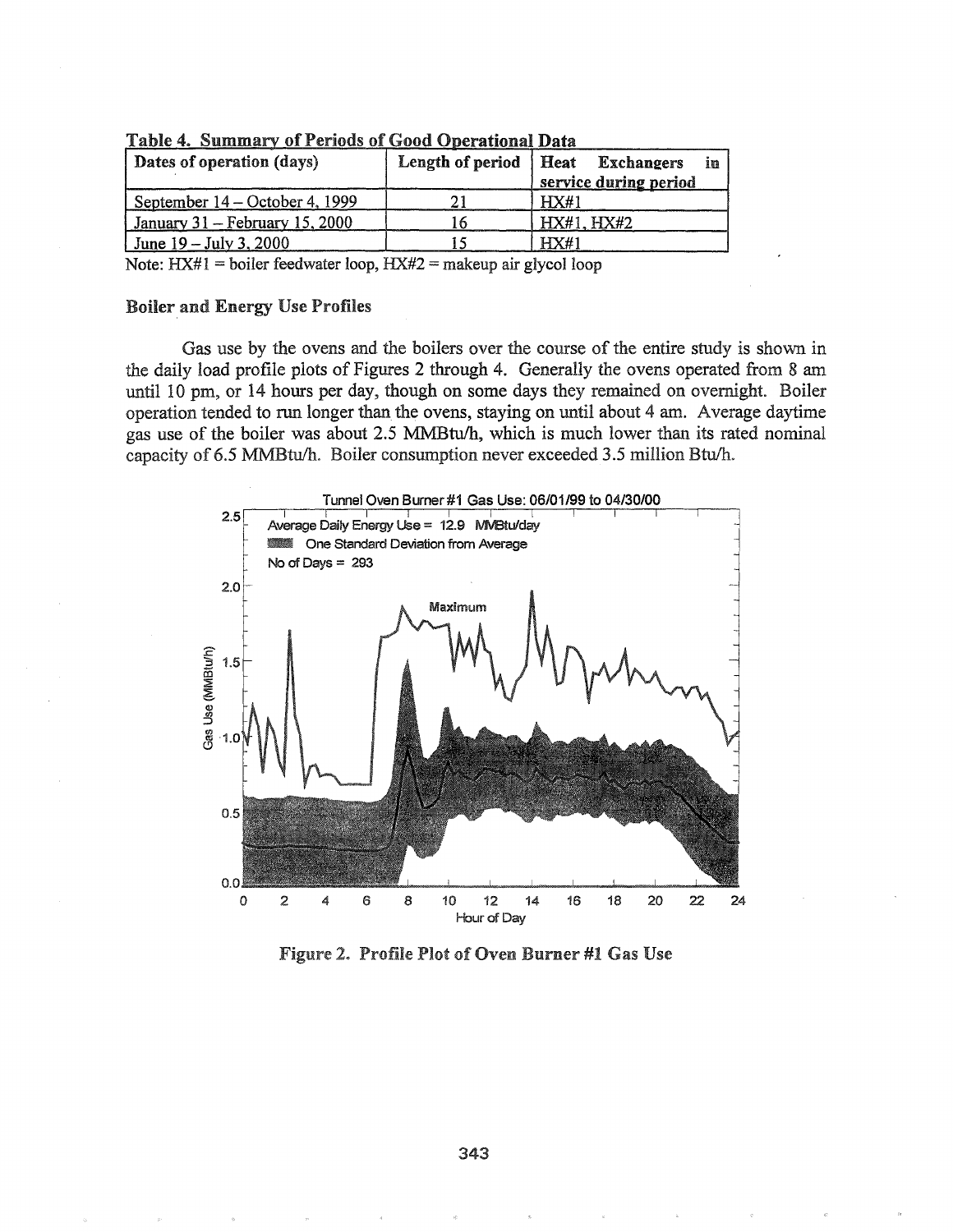| Dates of operation (days)         | Length of period | Heat Exchangers<br>in<br>service during period |
|-----------------------------------|------------------|------------------------------------------------|
| September $14 - October 4$ , 1999 |                  | HX#1                                           |
| January $31$ – February 15, 2000  |                  | HX#1, HX#2                                     |
| June $19 - \text{July } 3,2000$   |                  | HX#1                                           |

|  |  |  | <b>Table 4. Summary of Periods of Good Operational Data</b> |
|--|--|--|-------------------------------------------------------------|
|  |  |  |                                                             |

Note:  $H X#1 = \text{boiler feedback}$  feedwater loop,  $H X#2 = \text{makeup air glycol loop}$ 

#### Boiler and Energy Use Profiles

Gas use by the ovens and the boilers over the course of the entire study is shown in the daily load profile plots of Figures 2 through 4. Generally the ovens operated from 8 am until 10 pm, or 14 hours per day, though on some days they remained on overnight. Boiler operation tended to run longer than the ovens, staying on until about 4 am. Average daytime gas use of the boiler was about 2.5 MMBtu/h, which is much lower than its rated nominal capacity of 6.5 MMBtu/h. Boiler consumption never exceeded 3.5 million Btu/h.



Profile Plot of Oven Burner #1 Gas Use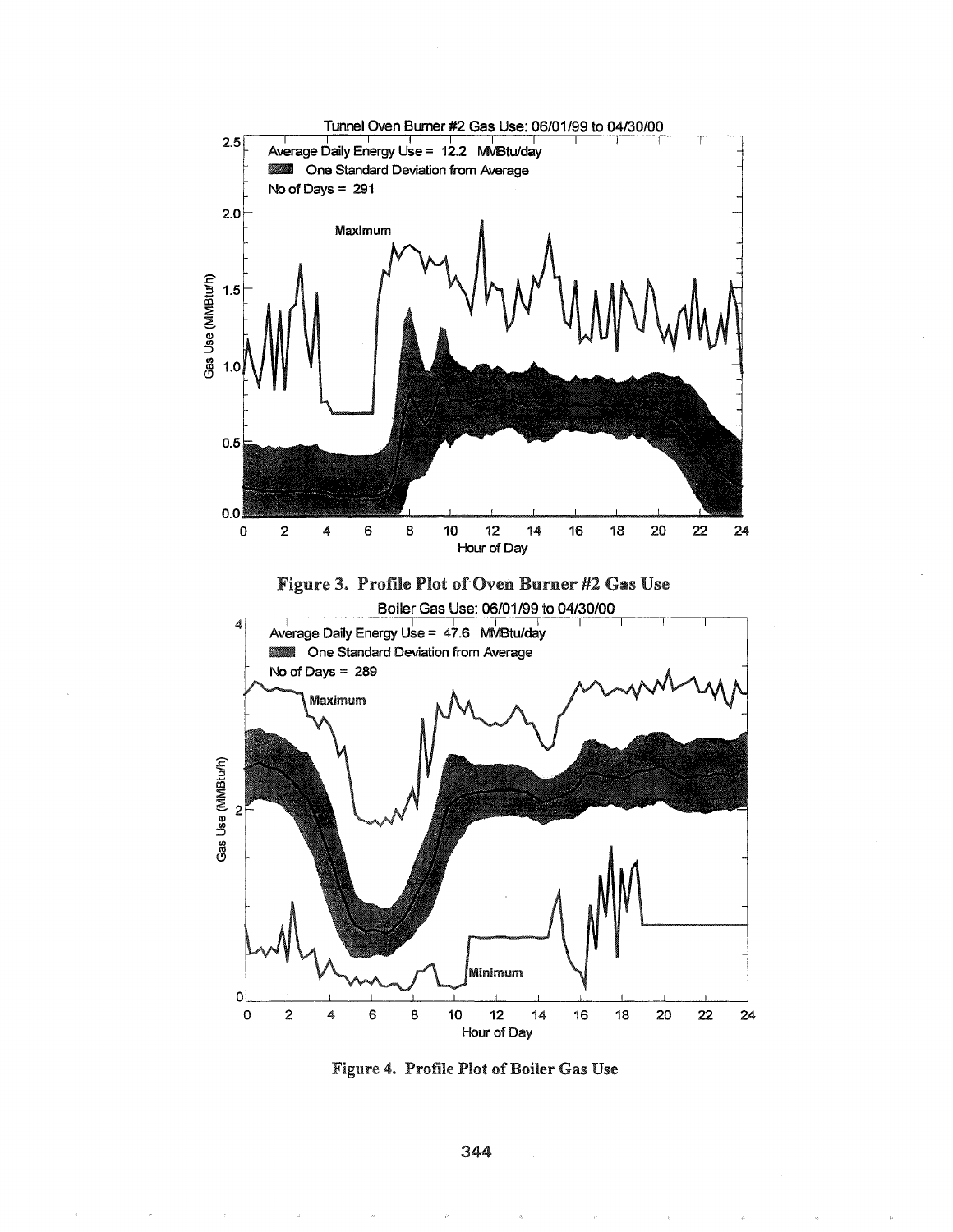

Figure 4. Profile Plot of Boiler Gas Use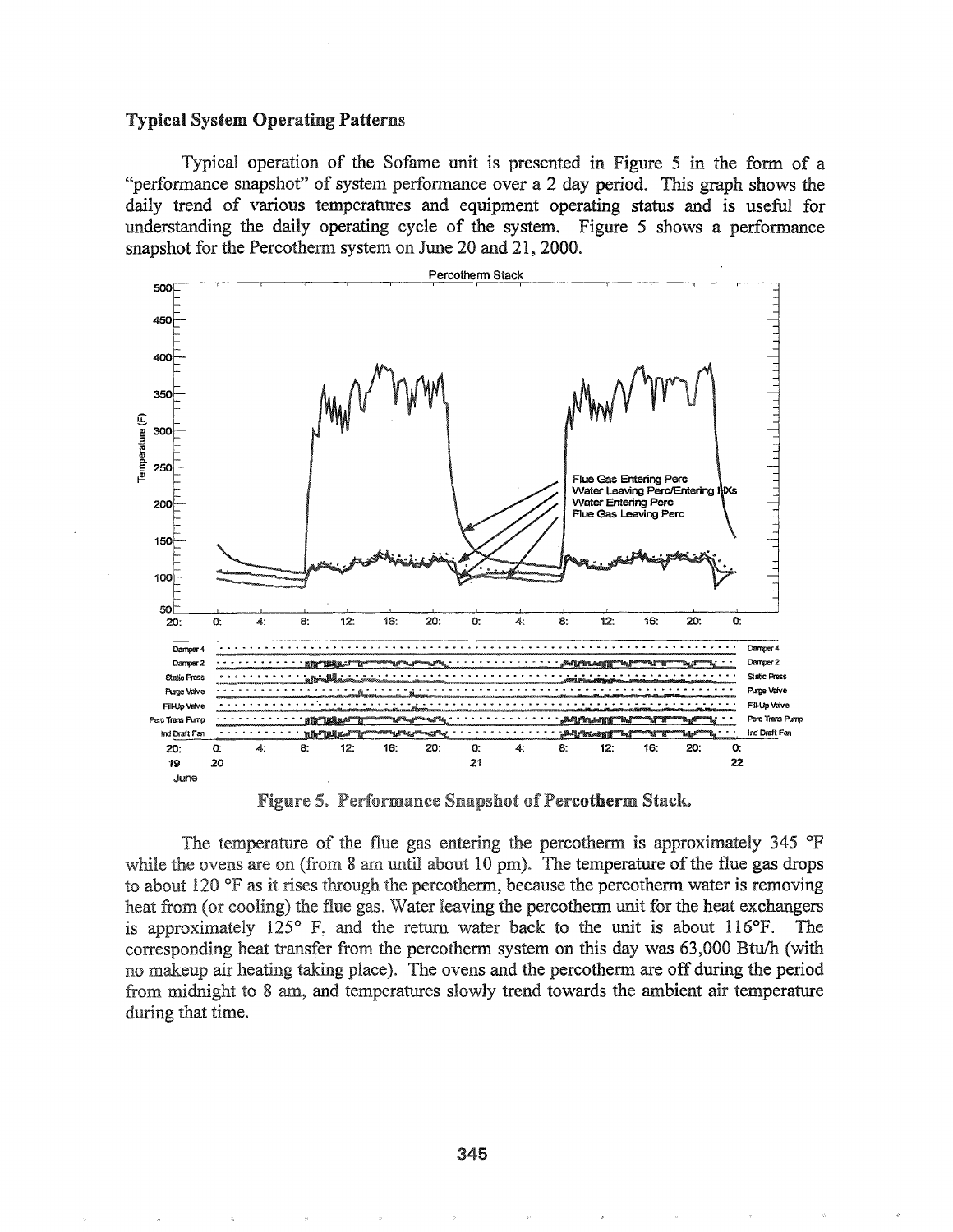#### **Typical System Operating Patterns**

Typical operation of the Sofame unit is presented in Figure 5 in the form of a "performance snapshot" of system performance over a 2 day period. This graph shows the daily trend of various temperatures and equipment operating status and is useful for understanding the daily operating cycle of the system. Figure 5 shows a performance snapshot for the Percotherm system on June 20 and 21, 2000.



**Figure 5. Performance Snapshot of Percotherm Stack.** 

The temperature of the flue gas entering the percotherm is approximately 345 °F while the ovens are on (from 8 am until about 10 pm). The temperature of the flue gas drops to about 120  $\degree$ F as it rises through the percotherm, because the percotherm water is removing heat from (or cooling) the flue gas. Water leaving the percotherm unit for the heat exchangers is approximately  $125^{\circ}$  F, and the return water back to the unit is about 116 $^{\circ}$ F. The corresponding heat transfer from the percotherm system on this day was 63,000 Btu/h (with no makeup air heating taking place). The ovens and the percotherm are off during the period from midnight to 8 am, and temperatures slowly trend towards the ambient air temperature during that time.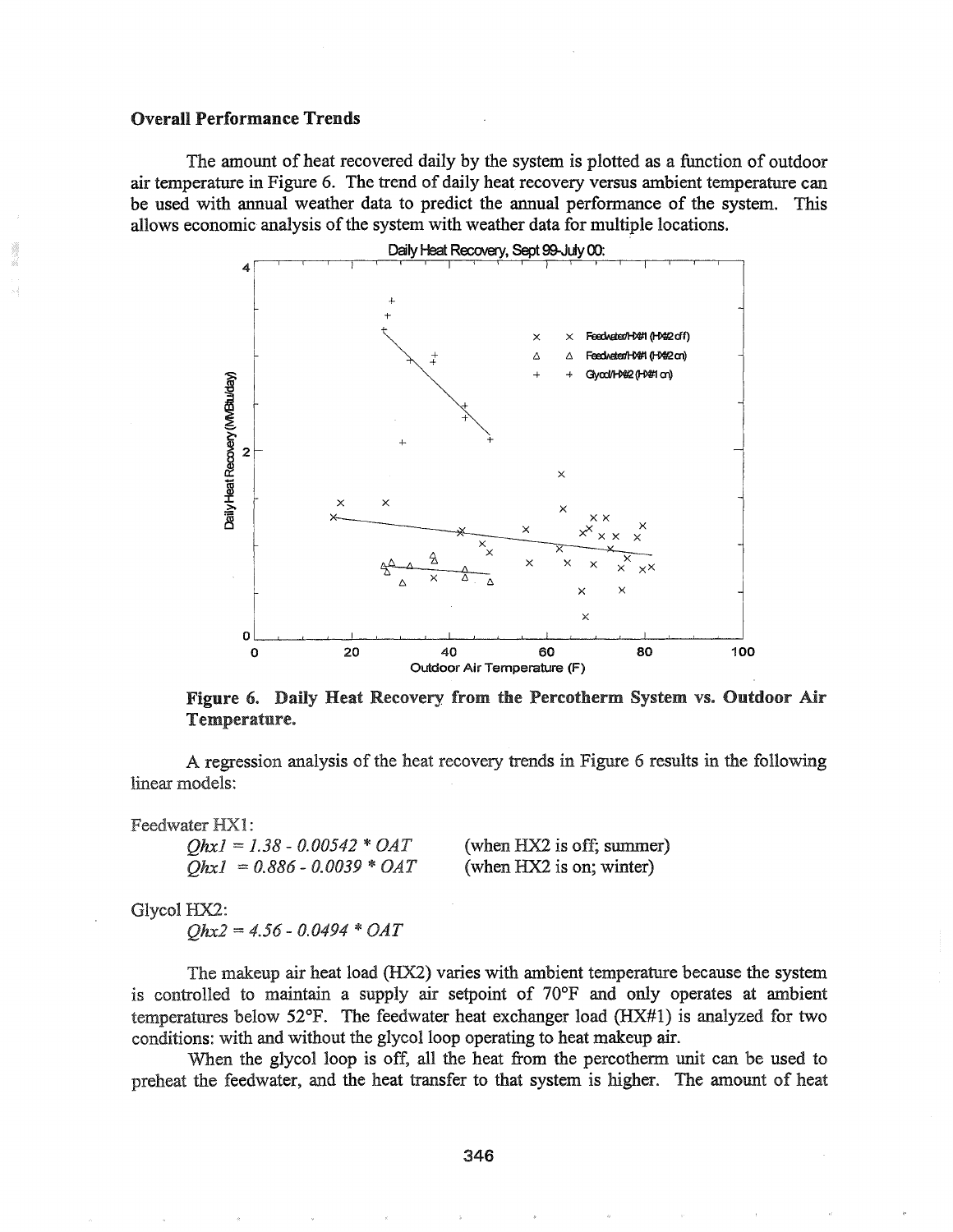#### **Overall Performance Trends**

The amount of heat recovered daily by the system is plotted as a function of outdoor air temperature in Figure 6. The trend of daily heat recovery versus ambient temperature can be used with annual weather data to predict the annual performance of the system. This allows economic analysis of the system with weather data for multiple locations.



Figure 6. Daily Heat Recovery from the Percotherm System vs. Outdoor Air Temperature.

A regression analysis of the heat recovery trends in Figure 6 results in the following linear models:

Feedwater HX1:

 $QhxI = 1.38 - 0.00542 * OAT$  $Ohx1 = 0.886 - 0.0039 * OAT$  (when HX2 is off; summer) (when HX2 is on; winter)

Glycol HX2:

 $Ohx2 = 4.56 - 0.0494 * OAT$ 

The makeup air heat load (HX2) varies with ambient temperature because the system is controlled to maintain a supply air setpoint of 70°F and only operates at ambient temperatures below  $52^{\circ}$ F. The feedwater heat exchanger load (HX#1) is analyzed for two conditions: with and without the glycol loop operating to heat makeup air.

When the glycol loop is off, all the heat from the percotherm unit can be used to preheat the feedwater, and the heat transfer to that system is higher. The amount of heat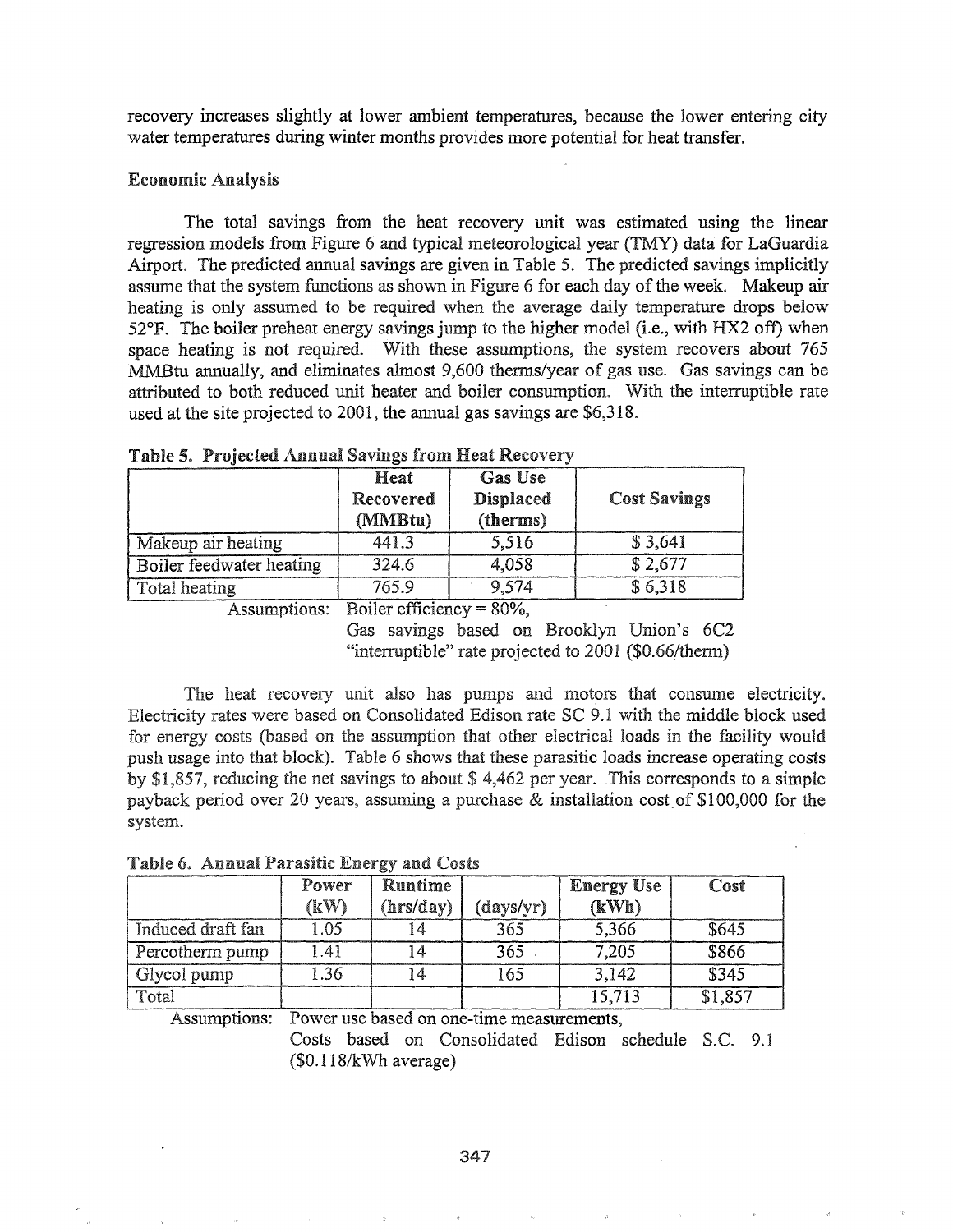recovery increases slightly at lower ambient temperatures, because the lower entering city water temperatures during winter months provides more potential for heat transfer.

### Economic Analysis

The total savings from the heat recovery unit was estimated using the linear regression models from Figure 6 and typical meteorological year (TMY) data for LaGuardia Airport. The predicted annual savings are given in Table 5. The predicted savings implicitly assume that the system functions as shown in Figure 6 for each day of the week. Makeup air heating is only assumed to be required when the average daily temperature drops below 52°P. The boiler preheat energy savings jump to the higher model (i.e., with HX2 off) when space heating is not required. With these assumptions, the system recovers about 765 MMBtu annually, and eliminates almost 9,600 thenns/year of gas use. Gas savings can be attributed to both reduced unit heater and boiler consumption~ With the interruptible rate used at the site projected to  $2001$ , the annual gas savings are \$6,318.

|                                 | Heat<br>Recovered<br>(MMBtu) | <b>Gas Use</b><br><b>Displaced</b><br>(therms) | <b>Cost Savings</b> |
|---------------------------------|------------------------------|------------------------------------------------|---------------------|
| Makeup air heating              | 441.3                        | 5,516                                          | \$3,641             |
| <b>Boiler feedwater heating</b> | 324.6                        | 4,058                                          | \$2,677             |
| <b>Total heating</b>            | 765.9                        | 9,574                                          | \$6,318             |

Table 5. Projected Annual Savings from Heat Recovery

Assumptions: Boiler efficiency =  $80\%$ ,

Gas savings based on Brooklyn Union's 6C2 "interruptible" rate projected to 2001 (\$O.66/thenn)

The heat recovery unit also has pumps and motors that consume electricity. Electricity rates were based on Consolidated Edison rate SC 9.1 with the middle block used for energy costs (based on the assumption that other electrical loads in the facility would push usage into that block). Table 6 shows that these parasitic loads increase operating costs by \$1,857, reducing the net savings to about \$4,462 per year. This corresponds to a simple payback period over 20 years, assuming a purchase  $\&$  installation cost of \$100,000 for the system.

|  |  | Table 6. Annual Parasitic Energy and Costs |  |
|--|--|--------------------------------------------|--|
|--|--|--------------------------------------------|--|

|                   | Power<br><b>(kW)</b> | <b>Runtime</b><br>(hrs/day) | (days/yr) | <b>Energy Use</b><br>(KWh) | Cost    |
|-------------------|----------------------|-----------------------------|-----------|----------------------------|---------|
| Induced draft fan | 1.05                 |                             | 365       | 5,366                      | \$645   |
| Percotherm pump   | 1.41                 |                             | 365       | 7,205                      | \$866   |
| Glycol pump       | 1.36                 | 14                          | 165       | 3,142                      | \$345   |
| Total             |                      |                             |           | 15,713                     | \$1,857 |

Assumptions: Power use based on one-time measurements,

Costs based on Consolidated Edison schedule S.C. 9.1  $($ \$0.118/kWh average $)$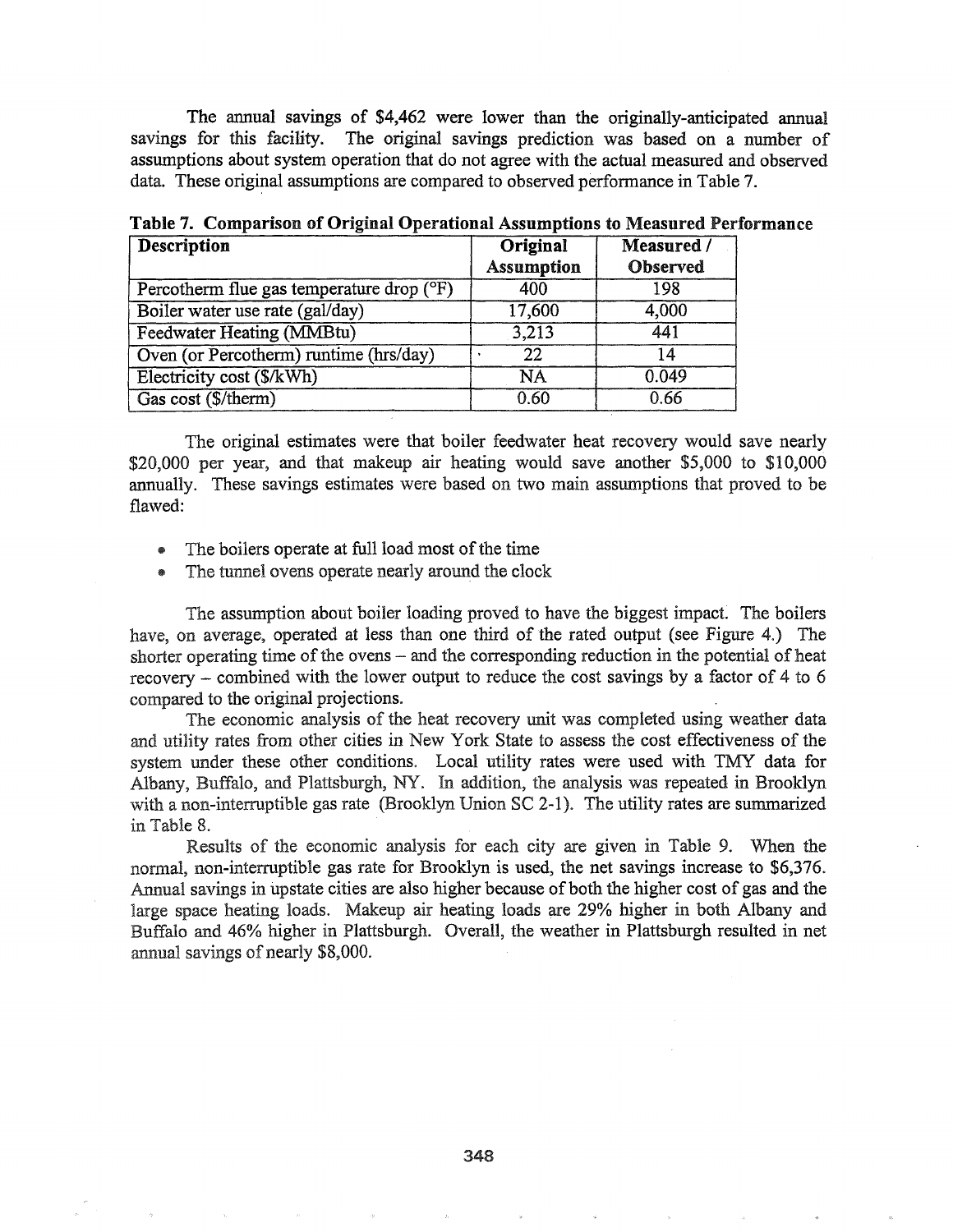The annual savings of \$4,462 were lower than the originally-anticipated annual savings for this facility. The original savings prediction was based on a number of assumptions about system operation that do not agree with the actual measured and observed data. These original assumptions are compared to observed performance in Table 7.

| <b>Description</b>                        | Original          | Measured / |
|-------------------------------------------|-------------------|------------|
|                                           | <b>Assumption</b> | Observed   |
| Percotherm flue gas temperature drop (°F) | 400               | 198        |
| Boiler water use rate (gal/day)           | 17,600            | 4,000      |
| <b>Feedwater Heating (MMBtu)</b>          | 3.213             | 441        |
| Oven (or Percotherm) runtime (hrs/day)    | 22                | 14         |
| Electricity cost (\$/kWh)                 | <b>NA</b>         | 0.049      |
| Gas cost (\$/therm)                       | 0.60              | 0.66       |

Table 7. Comparison of Original Operational Assumptions to Measured Performance

The original estimates were that boiler feedwater heat recovery would save nearly \$20,000 per year, and that makeup air heating would save another \$5,000 to \$10,000 annually. These savings estimates were based on two main assumptions that proved to be flawed:

- The boilers operate at full load most of the time
- \* The tunnel ovens operate nearly around the clock

The assumption about boiler loading proved to have the biggest impact. The boilers have, on average, operated at less than one third of the rated output (see Figure 4.) The shorter operating time of the ovens  $-$  and the corresponding reduction in the potential of heat recovery - combined with the lower output to reduce the cost savings by a factor of 4 to 6 compared to the original projections.

The economic analysis of the heat recovery unit was completed using weather data and utility rates from other cities in New York State to assess the cost effectiveness of the system under these other conditions. Local utility rates were used with TMY data for Albany, Buffalo, and Plattsburgh, NY. In addition, the analysis was repeated in Brooklyn with a non-interruptible gas rate (Brooklyn Union  $SC$  2-1). The utility rates are summarized in Table 8.

Results of the economic analysis for each city are given in Table 9. When the normal, non-interruptible gas rate for Brooklyn is used, the net savings increase to \$6,376. Annual savings in upstate cities are also higher because of both the higher cost of gas and the large space heating loads. Makeup air heating loads are 29% higher in both Albany and Buffalo and 46% higher in Plattsburgh. Overall, the weather in Plattsburgh resulted in net annual savings of nearly \$8,000.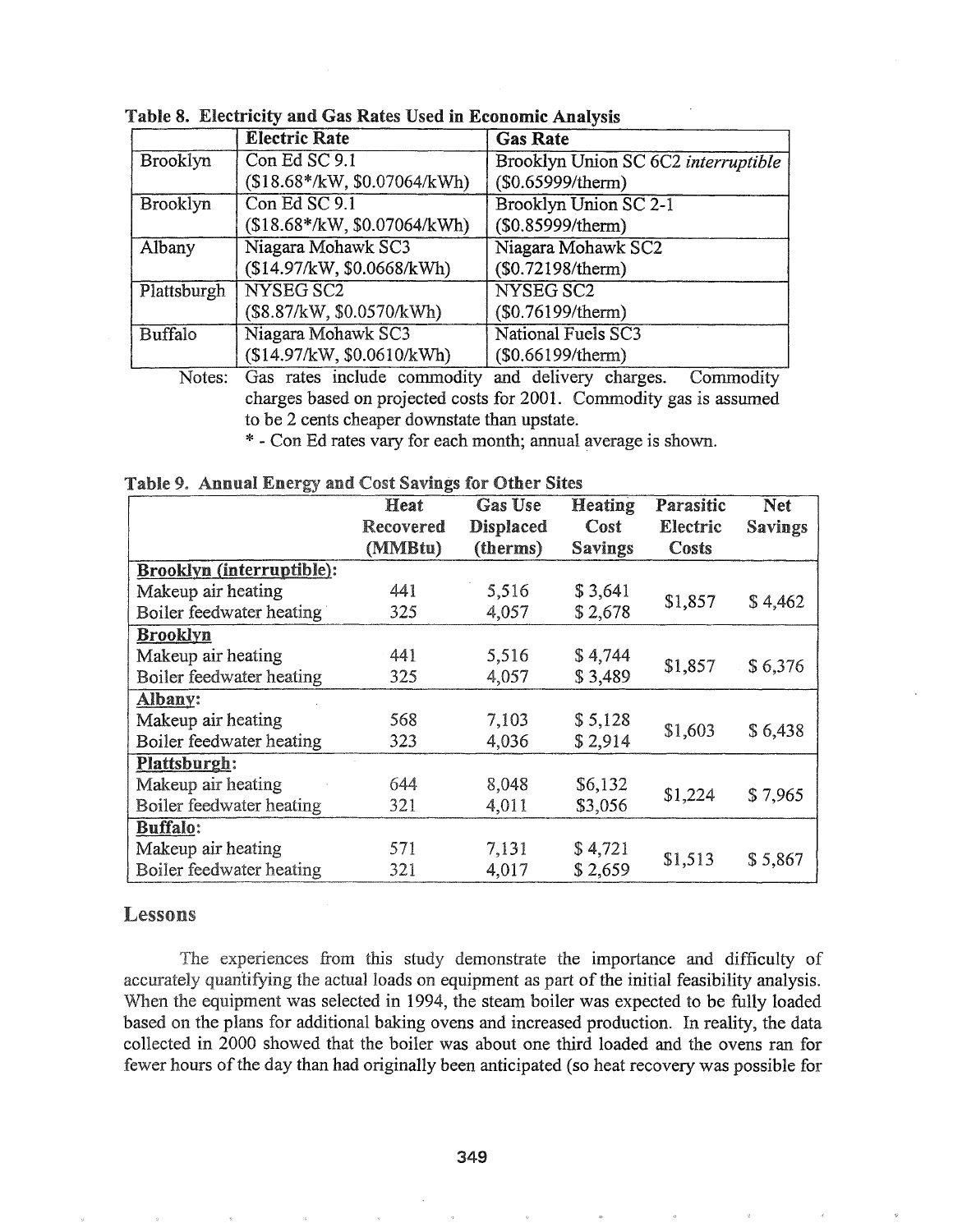|             | <b>Electric Rate</b>         | <b>Gas Rate</b>                     |
|-------------|------------------------------|-------------------------------------|
| Brooklyn    | Con Ed SC 9.1                | Brooklyn Union SC 6C2 interruptible |
|             | $($18.68*/kW, $0.07064/kWh)$ | (\$0.65999/therm)                   |
| Brooklyn    | Con Ed SC 9.1                | Brooklyn Union SC 2-1               |
|             | (\$18.68*/kW, \$0.07064/kWh) | (\$0.85999/therm)                   |
| Albany      | Niagara Mohawk SC3           | Niagara Mohawk SC2                  |
|             | (\$14.97/kW, \$0.0668/kWh)   | (\$0.72198/therm)                   |
| Plattsburgh | NYSEG SC2                    | NYSEG SC2                           |
|             | (\$8.87/kW, \$0.0570/kWh)    | (\$0.76199/therm)                   |
| Buffalo     | Niagara Mohawk SC3           | <b>National Fuels SC3</b>           |
|             | (\$14.97/kW, \$0.0610/kWh)   | (\$0.66199/therm)                   |

Table 8. Electricity and Gas Rates Used in Economic Analysis

Notes: Gas rates include commodity and delivery charges. Commodity charges based on projected costs for 2001. Commodity gas is assumed to be 2 cents cheaper downstate than upstate.

\* - Con Ed rates vary for each month; annual average is shown.

|                                  | Heat<br>Recovered | Gas Use<br><b>Displaced</b> | <b>Heating</b><br>Cost | Parasitic<br>Electric | <b>Net</b><br><b>Savings</b> |
|----------------------------------|-------------------|-----------------------------|------------------------|-----------------------|------------------------------|
|                                  | (MMBtu)           | (therms)                    | <b>Savings</b>         | Costs                 |                              |
| <b>Brooklyn (interruptible):</b> |                   |                             |                        |                       |                              |
| Makeup air heating               | 441               | 5,516                       | \$3,641                |                       | \$4,462                      |
| Boiler feedwater heating         | 325               | 4,057                       | \$2,678                | \$1,857               |                              |
| <b>Brooklyn</b>                  |                   |                             |                        |                       |                              |
| Makeup air heating               | 441               | 5,516                       | \$4,744                |                       | \$6,376                      |
| Boiler feedwater heating         | 325               | 4,057                       | \$3,489                | \$1,857               |                              |
| Albany:                          |                   |                             |                        |                       |                              |
| Makeup air heating               | 568               | 7,103                       | \$5,128                |                       |                              |
| Boiler feedwater heating         | 323               | 4,036                       | \$2,914                | \$1,603               | \$6,438                      |
| Plattsburgh:                     |                   |                             |                        |                       |                              |
| Makeup air heating               | 644               | 8,048                       | \$6,132                |                       |                              |
| Boiler feedwater heating         | 321               | 4,011                       | \$3,056                | \$1,224               | \$7,965                      |

571

321

#### Lessons

**Buffalo:** 

Makeup air heating

Boiler feedwater heating

The experiences from this study demonstrate the importance and difficulty of accurately quantifying the actual loads on equipment as part of the initial feasibility analysis. When the equipment was selected in 1994, the steam boiler was expected to be fully loaded based on the plans for additional baking ovens and increased production. In reality, the data collected in 2000 showed that the boiler was about one third loaded and the ovens ran for fewer hours of the day than had originally been anticipated (so heat recovery was possible for

7,131 \$ 4,721<br>4,017 \$ 2,659 \$1,513 \$ 5,867